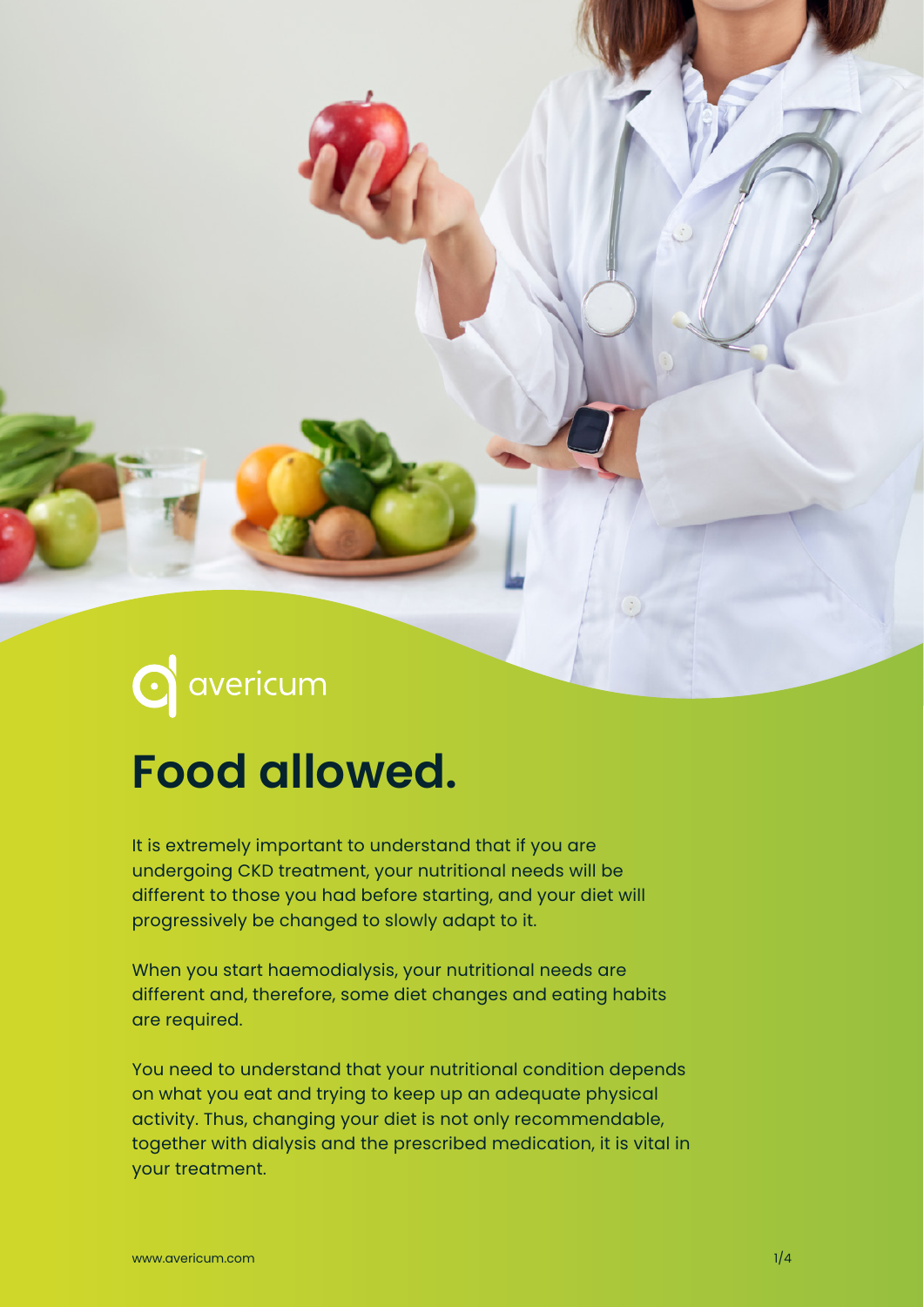# **C** avericum

## **Food allowed.**

It is extremely important to understand that if you are undergoing CKD treatment, your nutritional needs will be different to those you had before starting, and your diet will progressively be changed to slowly adapt to it.

When you start haemodialysis, your nutritional needs are different and, therefore, some diet changes and eating habits are required.

You need to understand that your nutritional condition depends on what you eat and trying to keep up an adequate physical activity. Thus, changing your diet is not only recommendable, together with dialysis and the prescribed medication, it is vital in your treatment.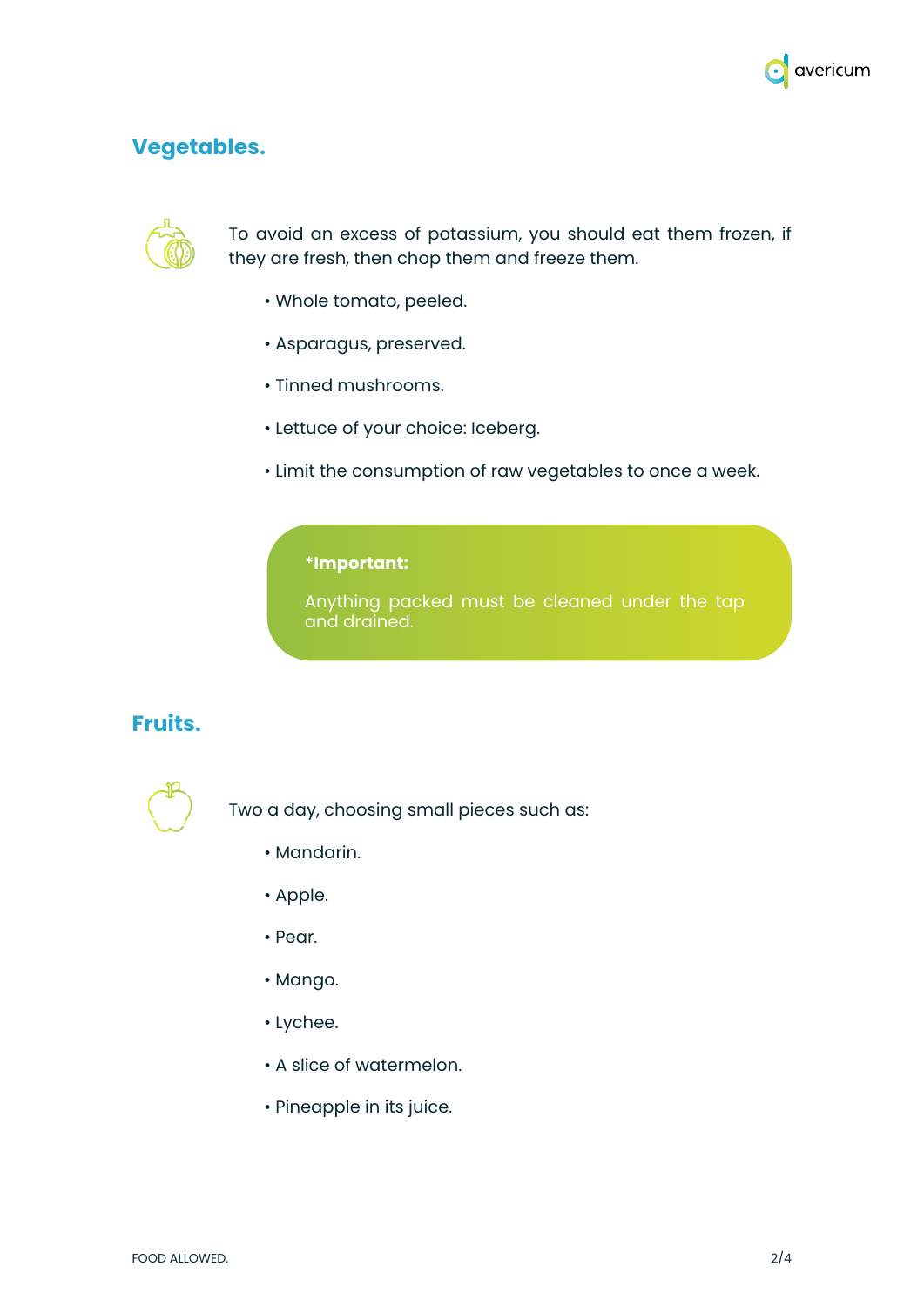

### **Vegetables.**



To avoid an excess of potassium, you should eat them frozen, if they are fresh, then chop them and freeze them.

- Whole tomato, peeled.
- Asparagus, preserved.
- Tinned mushrooms.
- Lettuce of your choice: Iceberg.
- Limit the consumption of raw vegetables to once a week.

#### **\*Important:**

Anything packed must be cleaned under the tap and drained.

#### **Fruits.**



Two a day, choosing small pieces such as:

- Mandarin.
- Apple.
- Pear.
- Mango.
- Lychee.
- A slice of watermelon.
- Pineapple in its juice.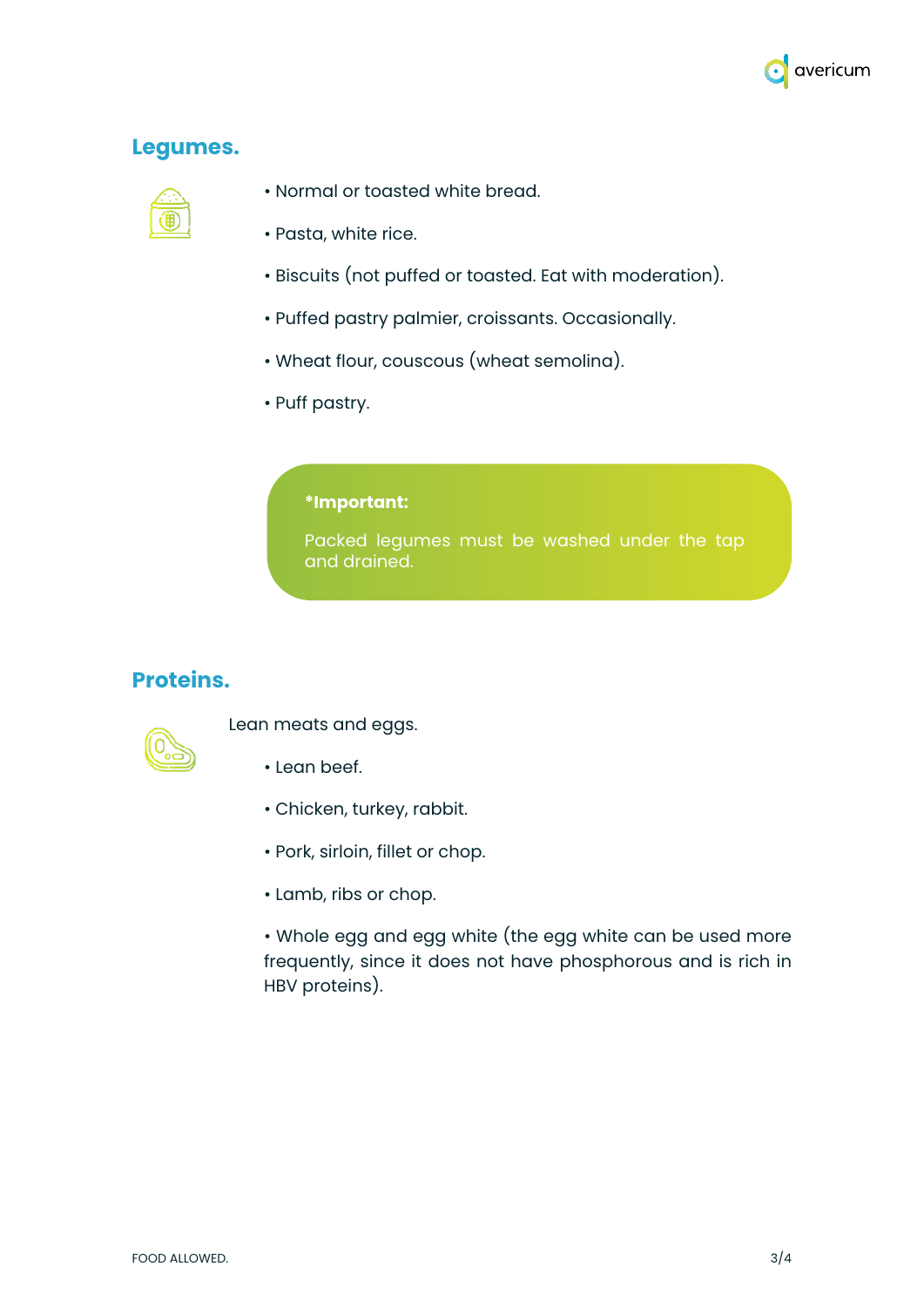

### **Legumes.**



- Normal or toasted white bread.
- Pasta, white rice.
- Biscuits (not puffed or toasted. Eat with moderation).
- Puffed pastry palmier, croissants. Occasionally.
- Wheat flour, couscous (wheat semolina).
- Puff pastry.

#### **\*Important:**

Packed legumes must be washed under the tap and drained.

#### **Proteins.**



Lean meats and eggs.

- Lean beef.
- Chicken, turkey, rabbit.
- Pork, sirloin, fillet or chop.
- Lamb, ribs or chop.

• Whole egg and egg white (the egg white can be used more frequently, since it does not have phosphorous and is rich in HBV proteins).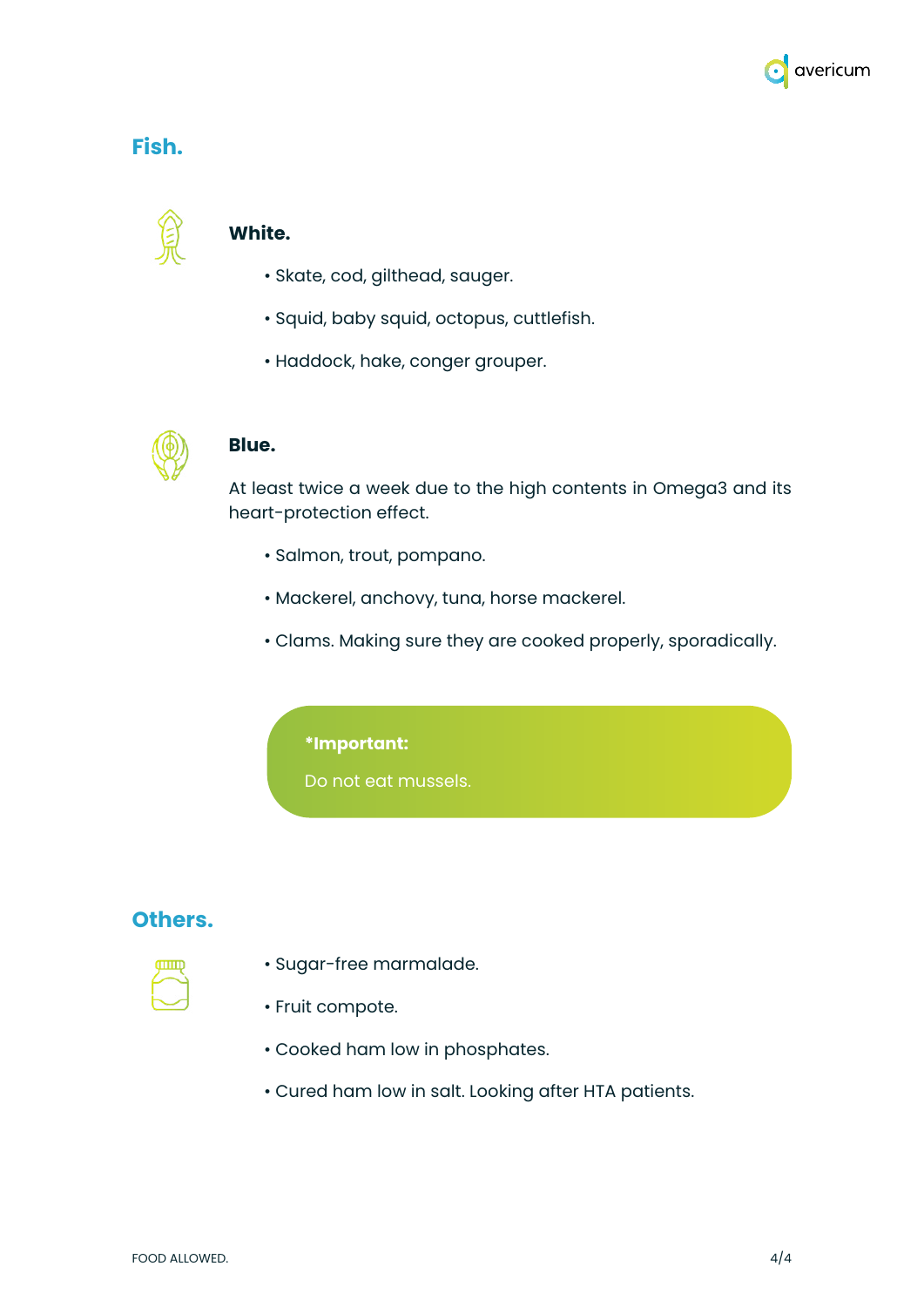

### **Fish.**



#### **White.**

- Skate, cod, gilthead, sauger.
- Squid, baby squid, octopus, cuttlefish.
- Haddock, hake, conger grouper.



#### **Blue.**

At least twice a week due to the high contents in Omega3 and its heart-protection effect.

- Salmon, trout, pompano.
- Mackerel, anchovy, tuna, horse mackerel.
- Clams. Making sure they are cooked properly, sporadically.

#### **\*Important:**

Do not eat mussels.

#### **Others.**

- 
- Sugar-free marmalade.
- Fruit compote.
- Cooked ham low in phosphates.
- Cured ham low in salt. Looking after HTA patients.